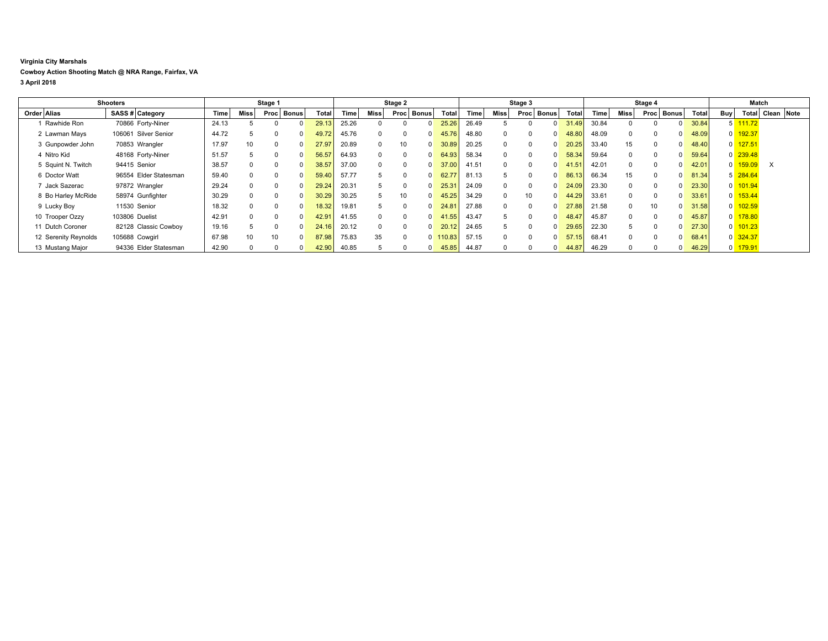## **Virginia City Marshals Cowboy Action Shooting Match @ NRA Range, Fairfax, VA 3 April 2018**

|                      | Shooters              |       |      | Stage 1 |              |       |       |              | Stage 2              |                       |       |             | Stage 3              |       |       |      | Stage 4              |       |                | Match  |                  |  |
|----------------------|-----------------------|-------|------|---------|--------------|-------|-------|--------------|----------------------|-----------------------|-------|-------------|----------------------|-------|-------|------|----------------------|-------|----------------|--------|------------------|--|
| Order Alias          | SASS # Category       | Time  | Miss | Proc    | <b>Bonus</b> | Total | Time  | Miss         | <b>Bonus</b><br>Proc | Total                 | Time. | Miss        | <b>Bonus</b><br>Proc | Total | Time  | Miss | <b>Bonus</b><br>Proc | Total | Buy            |        | Total Clean Note |  |
| Rawhide Ron          | 70866 Forty-Niner     | 24.13 |      |         |              | 29.13 | 25.26 |              |                      | 25.26<br>$\Omega$     | 26.49 | 5           |                      | 31.49 | 30.84 |      |                      | 30.84 |                | 111.72 |                  |  |
| 2 Lawman Mays        | 106061 Silver Senior  | 44.72 |      | 0       |              | 49.72 | 45.76 | $\Omega$     | $\Omega$             | 45.76<br>$\Omega$     | 48.80 | $\Omega$    | $\Omega$             | 48.80 | 48.09 |      |                      | 48.09 |                | 192.37 |                  |  |
| 3 Gunpowder John     | 70853 Wrangler        | 17.97 | 10   | 0       |              | 27.97 | 20.89 | $\Omega$     |                      | 30.89<br>$\Omega$     | 20.25 | $\Omega$    | $\Omega$             | 20.25 | 33.40 | 15   |                      | 48.40 |                | 127.51 |                  |  |
| 4 Nitro Kid          | 48168 Forty-Niner     | 51.57 |      | 0       |              | 56.57 | 64.93 | $\Omega$     | $\Omega$             | 64.93<br>$\Omega$     | 58.34 | $\Omega$    | $\Omega$             | 58.34 | 59.64 |      |                      | 59.64 |                | 239.48 |                  |  |
| 5 Squint N. Twitch   | 94415 Senior          | 38.57 |      | 0       |              | 38.57 | 37.00 | $\Omega$     |                      | 37.00<br>$\Omega$     | 41.51 | $\Omega$    | $\Omega$             | 41.51 | 42.01 |      |                      | 42.01 |                | 159.09 | $\times$         |  |
| 6 Doctor Watt        | 96554 Elder Statesman | 59.40 |      | 0       |              | 59.40 | 57.77 | $\mathbf{b}$ | $\Omega$             | 62.77<br>$\Omega$     | 81.13 | 5           | $\Omega$             | 86.13 | 66.34 | 15   | $\Omega$             | 81.34 | 5 <sup>1</sup> | 284.64 |                  |  |
| Jack Sazerac         | 97872 Wrangler        | 29.24 |      |         |              | 29.24 | 20.31 |              |                      | 25.31<br>$\Omega$     | 24.09 | $\Omega$    | $\Omega$             | 24.09 | 23.30 |      |                      | 23.30 |                | 101.94 |                  |  |
| 8 Bo Harley McRide   | 58974 Gunfighter      | 30.29 |      | 0       |              | 30.29 | 30.25 | 5            | 10                   | 45.25<br>$\Omega$     | 34.29 | $\mathbf 0$ | 10                   | 44.29 | 33.61 |      |                      | 33.61 |                | 153.44 |                  |  |
| 9 Lucky Boy          | 11530 Senior          | 18.32 |      |         |              | 18.32 | 19.81 |              | $\Omega$             | 24.81<br>$\Omega$     | 27.88 | $\Omega$    | $\Omega$             | 27.88 | 21.58 |      | 10                   | 31.58 |                | 102.59 |                  |  |
| 10 Trooper Ozzy      | 103806 Duelist        | 42.91 |      | 0       |              | 42.9' | 41.55 | $\Omega$     | $\Omega$             | 41.55<br>$\Omega$     | 43.47 | 5           | $\Omega$             | 48.47 | 45.87 |      |                      | 45.87 |                | 178.80 |                  |  |
| 11 Dutch Coroner     | 82128 Classic Cowboy  | 19.16 |      |         |              | 24.16 | 20.12 | $\Omega$     | $\Omega$             | 20.12<br>$\Omega$     | 24.65 | 5           | $\Omega$             | 29.65 | 22.30 | 5    |                      | 27.30 |                | 101.23 |                  |  |
| 12 Serenity Reynolds | 105688 Cowgirl        | 67.98 | 10   | 10      |              | 87.98 | 75.83 | 35           | 0                    | $0$ 110.83            | 57.15 | $\Omega$    | 0                    | 57.15 | 68.41 |      |                      | 68.41 |                | 324.37 |                  |  |
| 13 Mustang Major     | 94336 Elder Statesman | 42.90 |      |         |              | 42.90 | 40.85 |              |                      | $\mathbf{0}$<br>45.85 | 44.87 | $\Omega$    | 0                    | 44.87 | 46.29 |      |                      | 46.29 |                | 179.91 |                  |  |